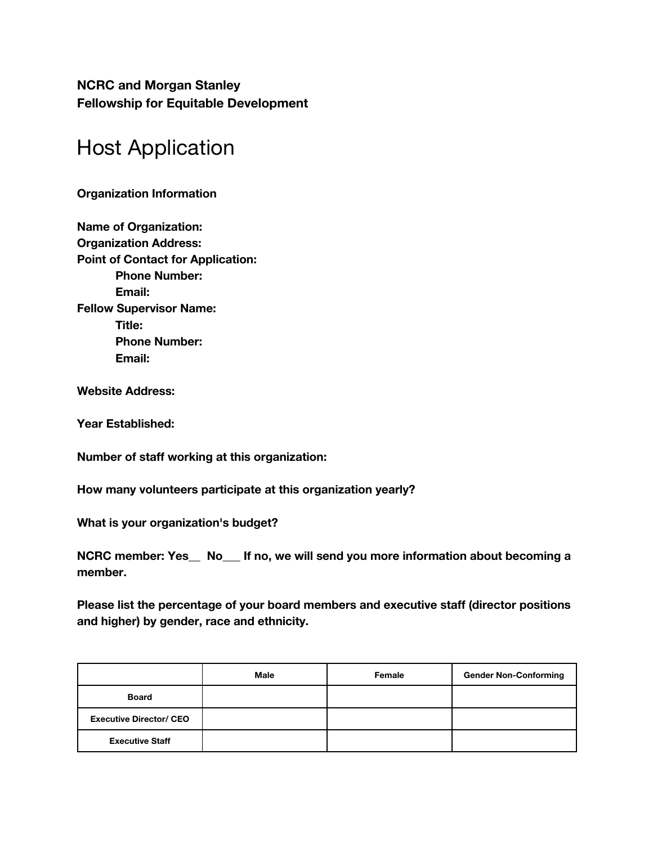**NCRC and Morgan Stanley Fellowship for Equitable Development**

# Host Application

**Organization Information**

**Name of Organization: Organization Address: Point of Contact for Application: Phone Number: Email: Fellow Supervisor Name: Title: Phone Number: Email:**

**Website Address:** 

**Year Established:** 

**Number of staff working at this organization:** 

**How many volunteers participate at this organization yearly?**

**What is your organization's budget?** 

**NCRC member: Yes\_\_ No\_\_\_ If no, we will send you more information about becoming a member.**

**Please list the percentage of your board members and executive staff (director positions and higher) by gender, race and ethnicity.** 

|                                | Male | Female | <b>Gender Non-Conforming</b> |
|--------------------------------|------|--------|------------------------------|
| <b>Board</b>                   |      |        |                              |
| <b>Executive Director/ CEO</b> |      |        |                              |
| <b>Executive Staff</b>         |      |        |                              |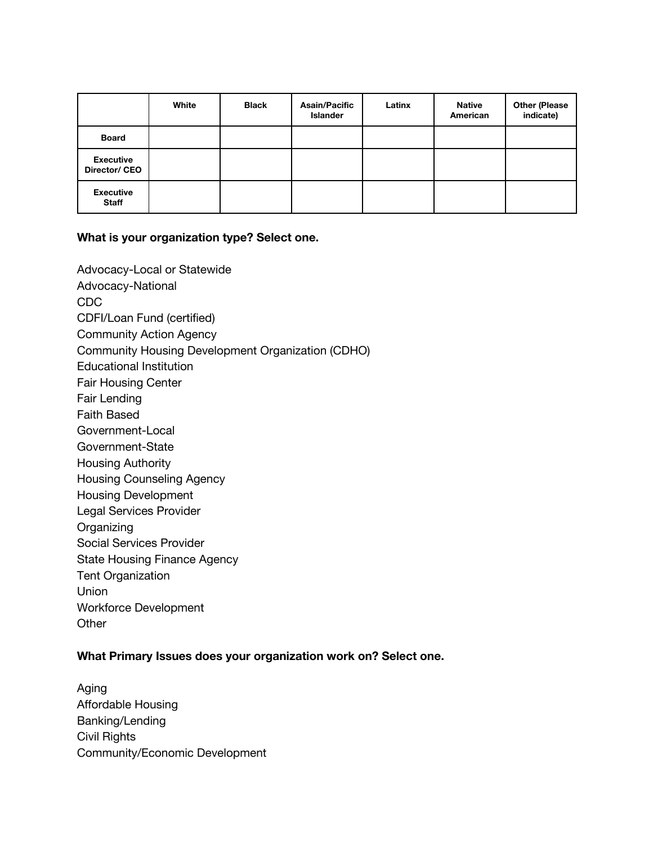|                                   | White | <b>Black</b> | <b>Asain/Pacific</b><br><b>Islander</b> | Latinx | <b>Native</b><br>American | <b>Other (Please</b><br>indicate) |
|-----------------------------------|-------|--------------|-----------------------------------------|--------|---------------------------|-----------------------------------|
| <b>Board</b>                      |       |              |                                         |        |                           |                                   |
| <b>Executive</b><br>Director/ CEO |       |              |                                         |        |                           |                                   |
| <b>Executive</b><br><b>Staff</b>  |       |              |                                         |        |                           |                                   |

### **What is your organization type? Select one.**

Advocacy-Local or Statewide Advocacy-National CDC CDFI/Loan Fund (certified) Community Action Agency Community Housing Development Organization (CDHO) Educational Institution Fair Housing Center Fair Lending Faith Based Government-Local Government-State Housing Authority Housing Counseling Agency Housing Development Legal Services Provider **Organizing** Social Services Provider State Housing Finance Agency Tent Organization Union Workforce Development **Other** 

## **What Primary Issues does your organization work on? Select one.**

Aging Affordable Housing Banking/Lending Civil Rights Community/Economic Development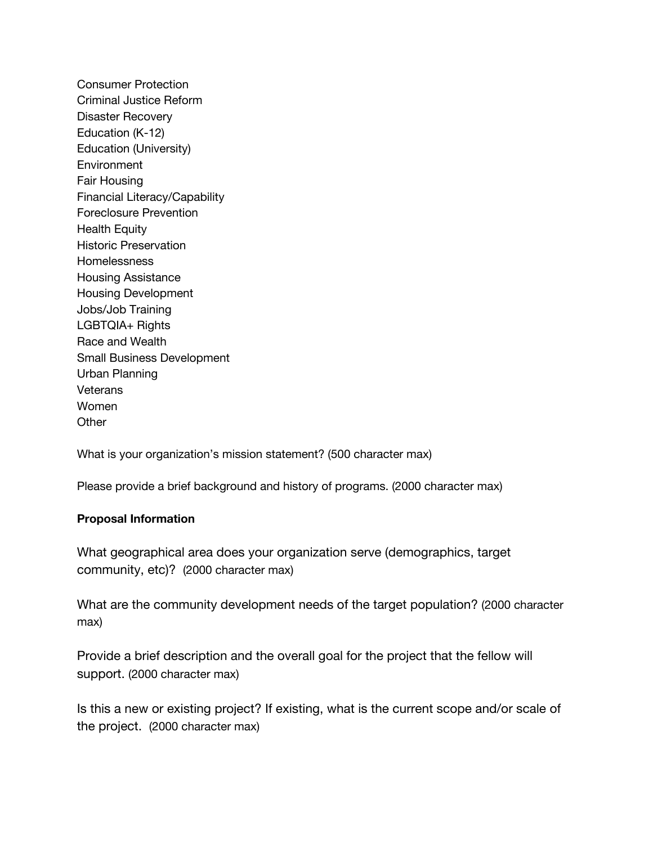Consumer Protection Criminal Justice Reform Disaster Recovery Education (K-12) Education (University) Environment Fair Housing Financial Literacy/Capability Foreclosure Prevention Health Equity Historic Preservation Homelessness Housing Assistance Housing Development Jobs/Job Training LGBTQIA+ Rights Race and Wealth Small Business Development Urban Planning **Veterans** Women **Other** 

What is your organization's mission statement? (500 character max)

Please provide a brief background and history of programs. (2000 character max)

#### **Proposal Information**

What geographical area does your organization serve (demographics, target community, etc)? (2000 character max)

What are the community development needs of the target population? (2000 character max)

Provide a brief description and the overall goal for the project that the fellow will support. (2000 character max)

Is this a new or existing project? If existing, what is the current scope and/or scale of the project. (2000 character max)